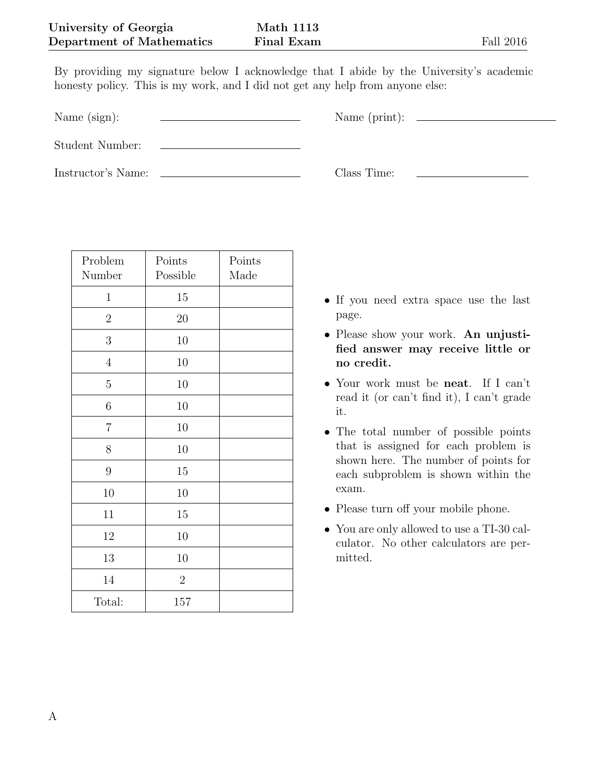By providing my signature below I acknowledge that I abide by the University's academic honesty policy. This is my work, and I did not get any help from anyone else:

Name (sign): Name (print):

Student Number:

Instructor's Name: Class Time:

| Problem<br>Number | Points<br>Possible | Points<br>Made |
|-------------------|--------------------|----------------|
| $\mathbf{1}$      | 15                 |                |
| $\sqrt{2}$        | $20\,$             |                |
| $\mathfrak{Z}$    | 10                 |                |
| $\sqrt{4}$        | 10                 |                |
| $\rm 5$           | $10\,$             |                |
| $\,6$             | 10                 |                |
| $\overline{7}$    | 10                 |                |
| 8                 | 10                 |                |
| $\boldsymbol{9}$  | 15                 |                |
| 10                | 10                 |                |
| 11                | 15                 |                |
| 12                | 10                 |                |
| 13                | 10                 |                |
| 14                | $\overline{2}$     |                |
| Total:            | 157                |                |

- *•* If you need extra space use the last page.
- *•* Please show your work. **An unjustified answer may receive little or no credit.**
- *•* Your work must be **neat**. If I can't read it (or can't find it), I can't grade it.
- *•* The total number of possible points that is assigned for each problem is shown here. The number of points for each subproblem is shown within the exam.
- Please turn off your mobile phone.
- *•* You are only allowed to use a TI-30 calculator. No other calculators are permitted.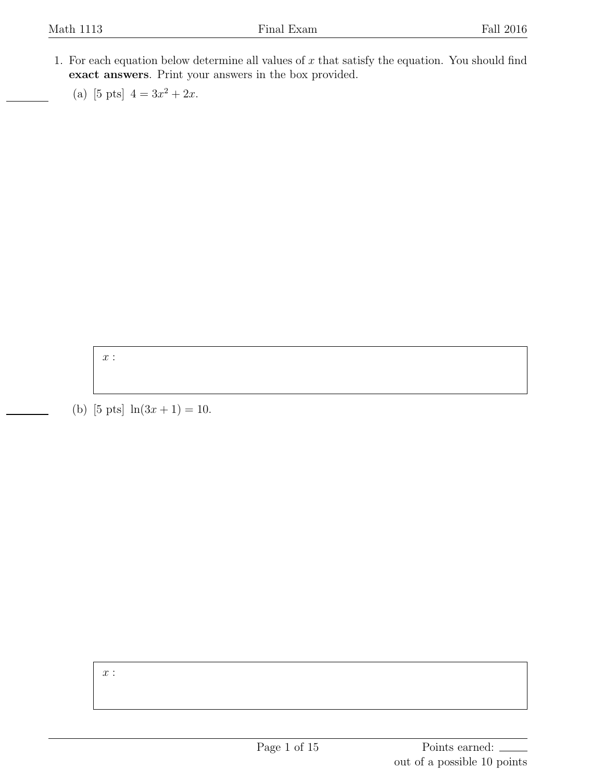- 1. For each equation below determine all values of *x* that satisfy the equation. You should find **exact answers**. Print your answers in the box provided.
	- (a) [5 pts]  $4 = 3x^2 + 2x$ .

*x* :

(b) [5 pts]  $\ln(3x+1) = 10$ .

*x* :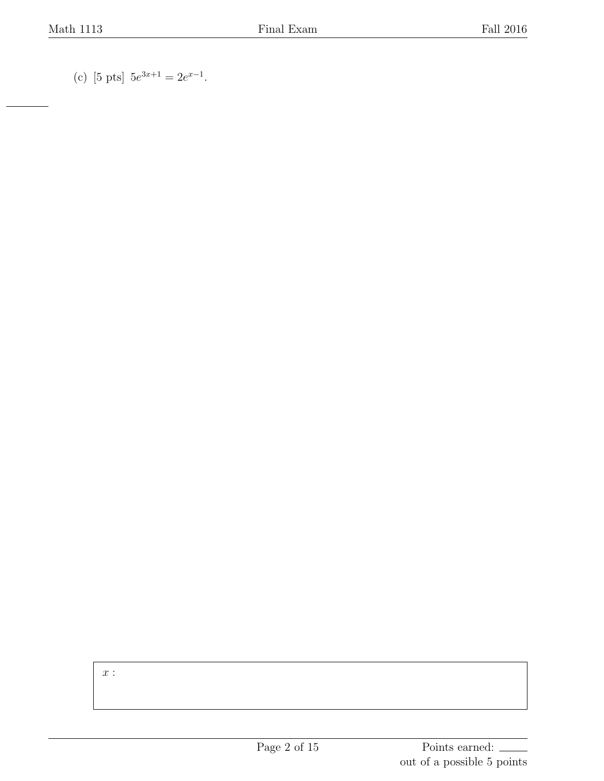(c) [5 pts]  $5e^{3x+1} = 2e^{x-1}$ .

*x* :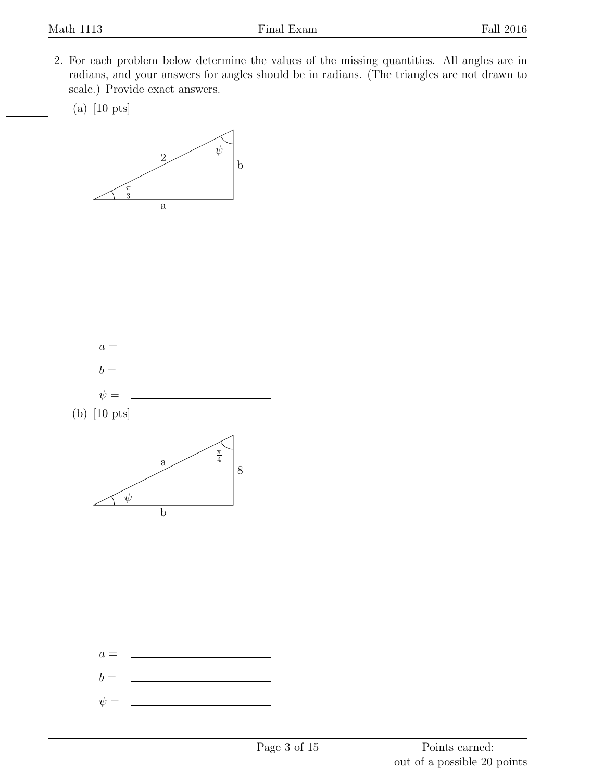- 2. For each problem below determine the values of the missing quantities. All angles are in radians, and your answers for angles should be in radians. (The triangles are not drawn to scale.) Provide exact answers.
	- (a) [10 pts]





(b) [10 pts]



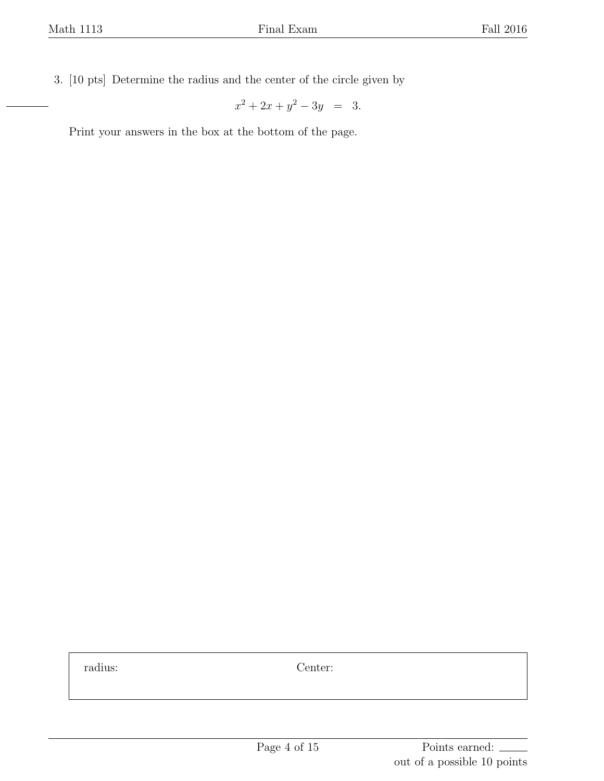3. [10 pts] Determine the radius and the center of the circle given by

$$
x^2 + 2x + y^2 - 3y = 3.
$$

Print your answers in the box at the bottom of the page.

radius: Center: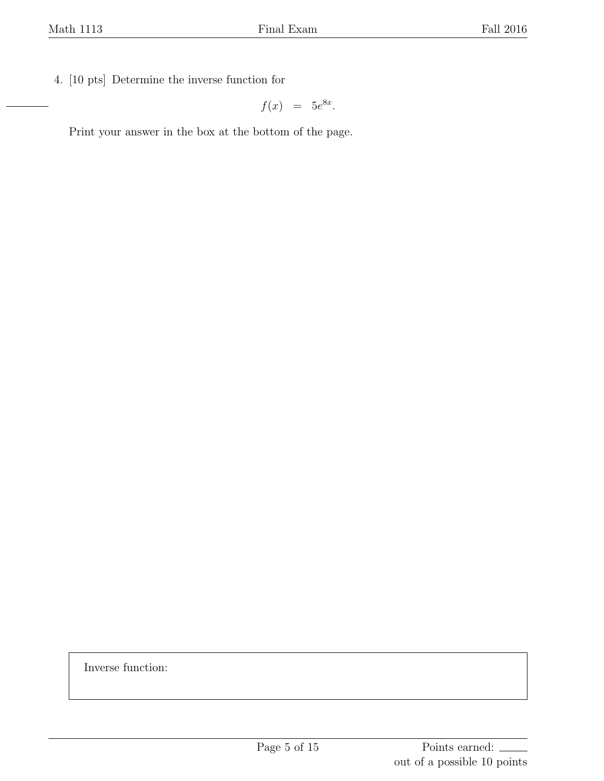4. [10 pts] Determine the inverse function for

$$
f(x) = 5e^{8x}.
$$

Print your answer in the box at the bottom of the page.

Inverse function: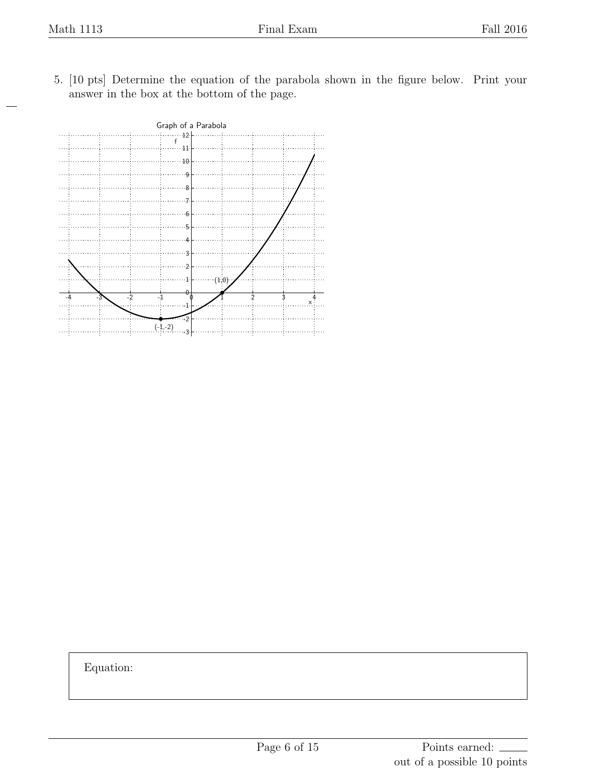5. [10 pts] Determine the equation of the parabola shown in the figure below. Print your answer in the box at the bottom of the page.



Equation: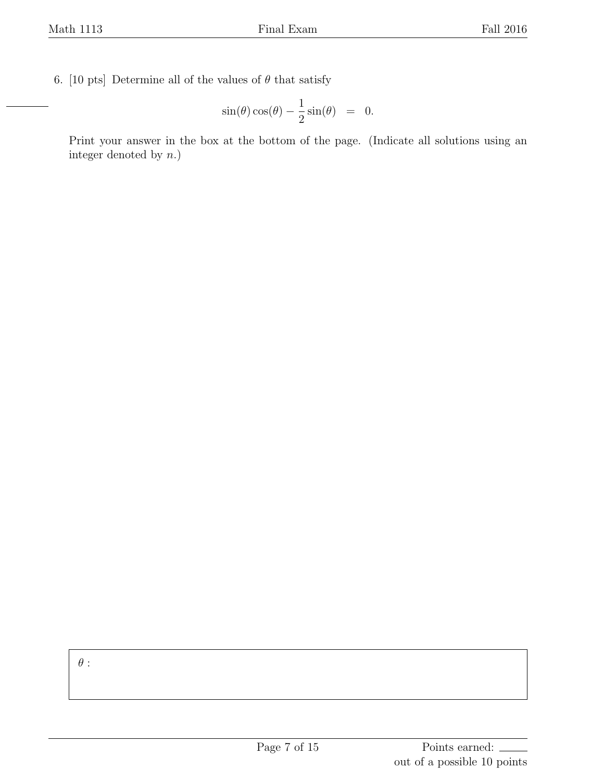6. [10 pts] Determine all of the values of  $\theta$  that satisfy

$$
\sin(\theta)\cos(\theta) - \frac{1}{2}\sin(\theta) = 0.
$$

Print your answer in the box at the bottom of the page. (Indicate all solutions using an integer denoted by *n*.)

*θ* :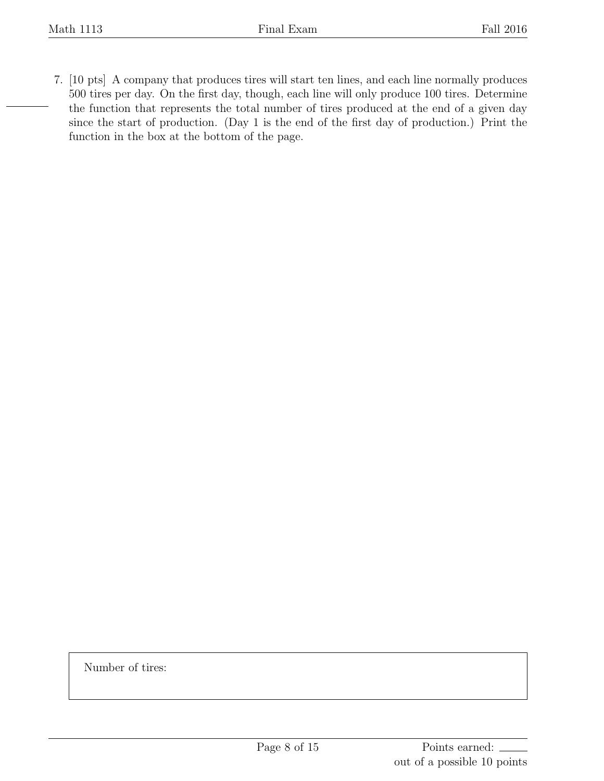7. [10 pts] A company that produces tires will start ten lines, and each line normally produces 500 tires per day. On the first day, though, each line will only produce 100 tires. Determine the function that represents the total number of tires produced at the end of a given day since the start of production. (Day 1 is the end of the first day of production.) Print the function in the box at the bottom of the page.

Number of tires: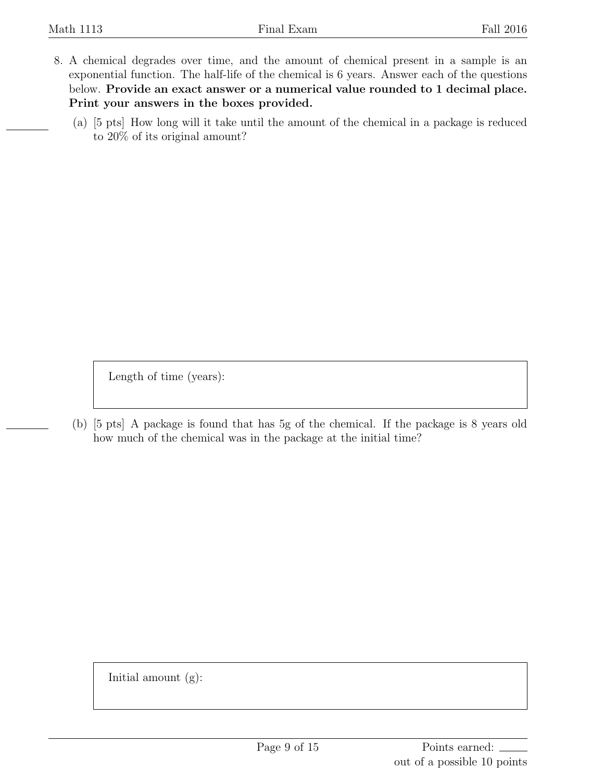- 8. A chemical degrades over time, and the amount of chemical present in a sample is an exponential function. The half-life of the chemical is 6 years. Answer each of the questions below. **Provide an exact answer or a numerical value rounded to 1 decimal place. Print your answers in the boxes provided.**
	- (a) [5 pts] How long will it take until the amount of the chemical in a package is reduced to 20% of its original amount?

Length of time (years):

(b) [5 pts] A package is found that has 5g of the chemical. If the package is 8 years old how much of the chemical was in the package at the initial time?

Initial amount  $(g)$ :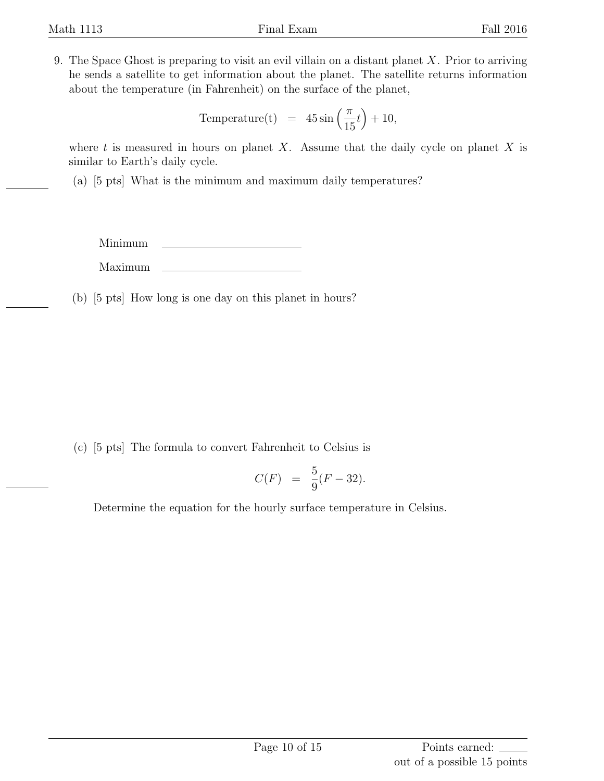9. The Space Ghost is preparing to visit an evil villain on a distant planet *X*. Prior to arriving he sends a satellite to get information about the planet. The satellite returns information about the temperature (in Fahrenheit) on the surface of the planet,

Temperature(t) = 
$$
45 \sin\left(\frac{\pi}{15}t\right) + 10
$$
,

where *t* is measured in hours on planet *X*. Assume that the daily cycle on planet *X* is similar to Earth's daily cycle.

(a) [5 pts] What is the minimum and maximum daily temperatures?

Minimum Maximum

(b) [5 pts] How long is one day on this planet in hours?

(c) [5 pts] The formula to convert Fahrenheit to Celsius is

$$
C(F) = \frac{5}{9}(F - 32).
$$

Determine the equation for the hourly surface temperature in Celsius.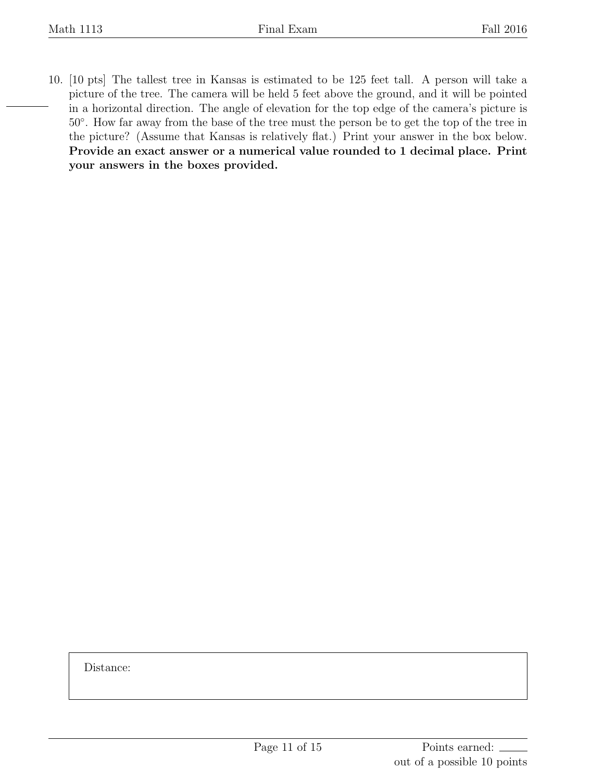10. [10 pts] The tallest tree in Kansas is estimated to be 125 feet tall. A person will take a picture of the tree. The camera will be held 5 feet above the ground, and it will be pointed in a horizontal direction. The angle of elevation for the top edge of the camera's picture is 50*◦* . How far away from the base of the tree must the person be to get the top of the tree in the picture? (Assume that Kansas is relatively flat.) Print your answer in the box below. **Provide an exact answer or a numerical value rounded to 1 decimal place. Print your answers in the boxes provided.**

Distance: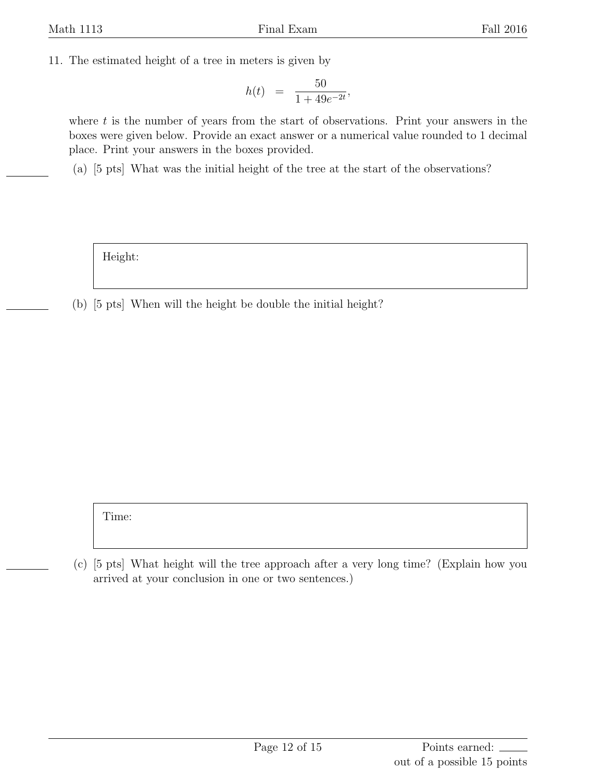11. The estimated height of a tree in meters is given by

$$
h(t) = \frac{50}{1 + 49e^{-2t}},
$$

where *t* is the number of years from the start of observations. Print your answers in the boxes were given below. Provide an exact answer or a numerical value rounded to 1 decimal place. Print your answers in the boxes provided.

(a) [5 pts] What was the initial height of the tree at the start of the observations?

Height:

(b) [5 pts] When will the height be double the initial height?

Time:

(c) [5 pts] What height will the tree approach after a very long time? (Explain how you arrived at your conclusion in one or two sentences.)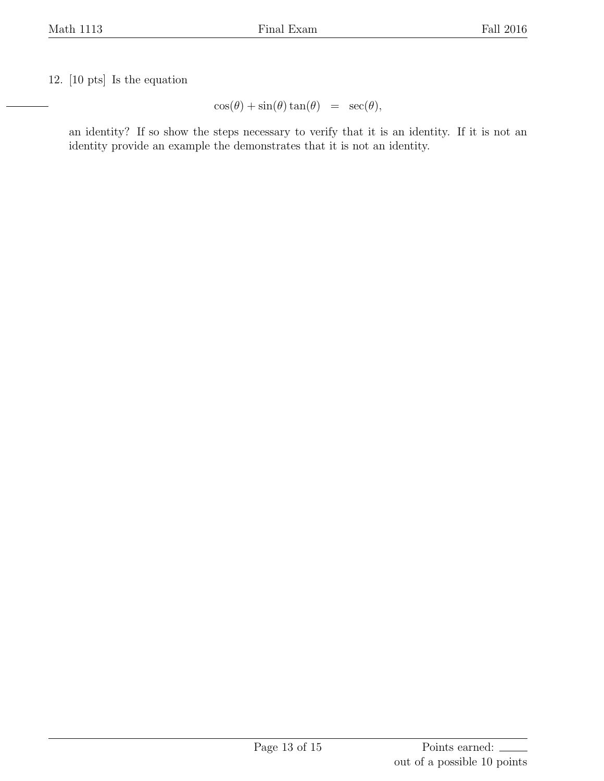12. [10 pts] Is the equation

 $\cos(\theta) + \sin(\theta) \tan(\theta) = \sec(\theta)$ ,

an identity? If so show the steps necessary to verify that it is an identity. If it is not an identity provide an example the demonstrates that it is not an identity.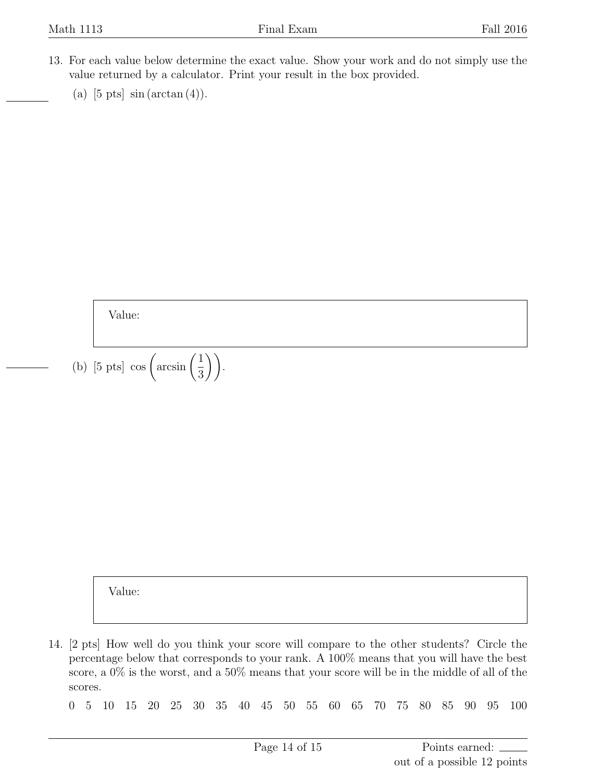- 13. For each value below determine the exact value. Show your work and do not simply use the value returned by a calculator. Print your result in the box provided.
	- (a)  $[5 \text{ pts}] \sin(\arctan(4)).$

Value:

(b) [5 pts] cos  $\left(\arcsin\left(\frac{1}{2}\right)\right)$ 3 )).

Value:

14. [2 pts] How well do you think your score will compare to the other students? Circle the percentage below that corresponds to your rank. A 100% means that you will have the best score, a 0% is the worst, and a 50% means that your score will be in the middle of all of the scores.

0 5 10 15 20 25 30 35 40 45 50 55 60 65 70 75 80 85 90 95 100